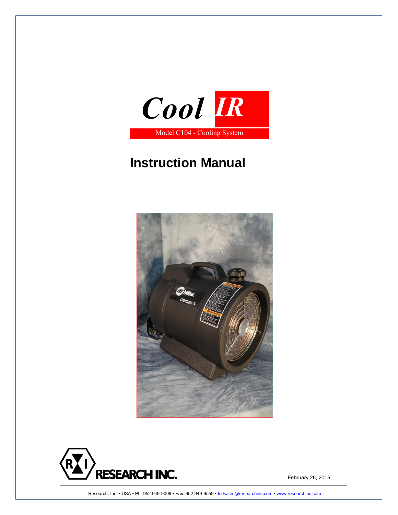

# **Instruction Manual**





Research, Inc. • USA • Ph: 952.949-9009 • Fax: 952.949-9559 [• tsdsales@researchinc.com](mailto:tsdsales@researchinc.com) [• www.researchinc.com](http://www.researchinc.com/)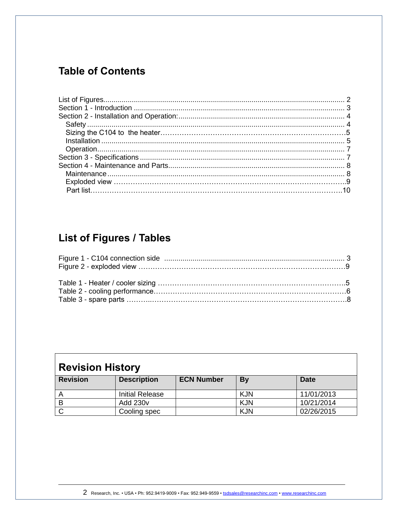## **Table of Contents**

# <span id="page-1-0"></span>List of Figures / Tables

| <b>Revision History</b> |                        |                   |            |             |  |
|-------------------------|------------------------|-------------------|------------|-------------|--|
| <b>Revision</b>         | <b>Description</b>     | <b>ECN Number</b> | By         | <b>Date</b> |  |
|                         | <b>Initial Release</b> |                   | <b>KJN</b> | 11/01/2013  |  |
| В                       | <b>Add 230v</b>        |                   | <b>KJN</b> | 10/21/2014  |  |
|                         | Cooling spec           |                   | <b>KJN</b> | 02/26/2015  |  |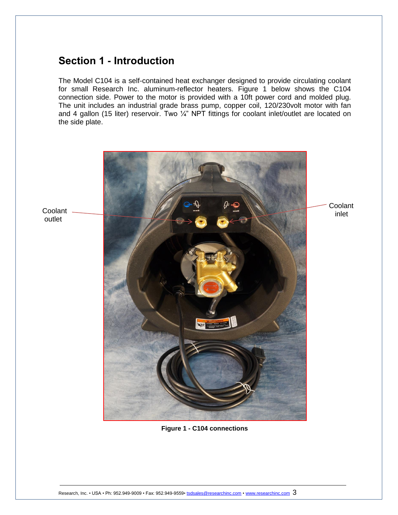## <span id="page-2-0"></span>**Section 1 - Introduction**

The Model C104 is a self-contained heat exchanger designed to provide circulating coolant for small Research Inc. aluminum-reflector heaters. Figure 1 below shows the C104 connection side. Power to the motor is provided with a 10ft power cord and molded plug. The unit includes an industrial grade brass pump, copper coil, 120/230volt motor with fan and 4 gallon (15 liter) reservoir. Two 1/4" NPT fittings for coolant inlet/outlet are located on the side plate.



<span id="page-2-1"></span>**Figure 1 - C104 connections**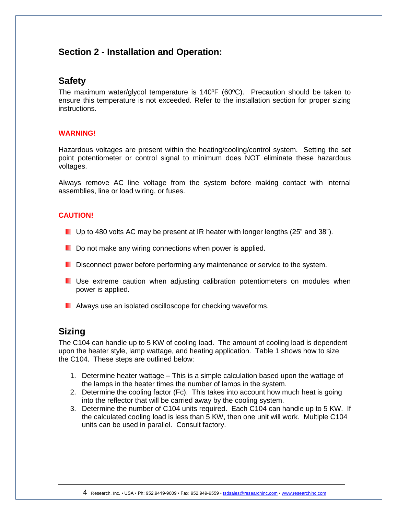## <span id="page-3-0"></span>**Section 2 - Installation and Operation:**

### <span id="page-3-1"></span>**Safety**

The maximum water/glycol temperature is 140ºF (60ºC). Precaution should be taken to ensure this temperature is not exceeded. Refer to the installation section for proper sizing instructions.

#### **WARNING!**

Hazardous voltages are present within the heating/cooling/control system. Setting the set point potentiometer or control signal to minimum does NOT eliminate these hazardous voltages.

Always remove AC line voltage from the system before making contact with internal assemblies, line or load wiring, or fuses.

#### **CAUTION!**

- Up to 480 volts AC may be present at IR heater with longer lengths (25" and 38").
- $\blacksquare$  Do not make any wiring connections when power is applied.
- Disconnect power before performing any maintenance or service to the system.
- **D** Use extreme caution when adjusting calibration potentiometers on modules when power is applied.
- **Always use an isolated oscilloscope for checking waveforms.**

## **Sizing**

The C104 can handle up to 5 KW of cooling load. The amount of cooling load is dependent upon the heater style, lamp wattage, and heating application. Table 1 shows how to size the C104. These steps are outlined below:

- 1. Determine heater wattage This is a simple calculation based upon the wattage of the lamps in the heater times the number of lamps in the system.
- 2. Determine the cooling factor (Fc). This takes into account how much heat is going into the reflector that will be carried away by the cooling system.
- 3. Determine the number of C104 units required. Each C104 can handle up to 5 KW. If the calculated cooling load is less than 5 KW, then one unit will work. Multiple C104 units can be used in parallel. Consult factory.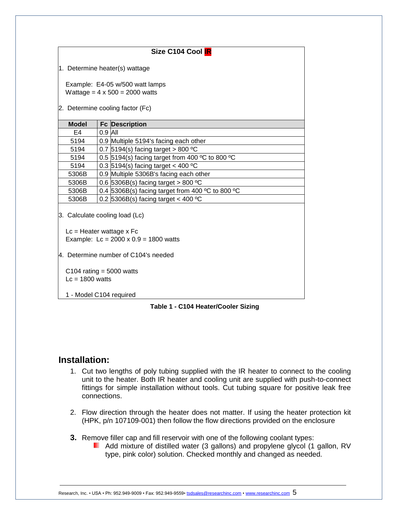| Size C104 Cool IR                               |           |                                                                          |  |  |
|-------------------------------------------------|-----------|--------------------------------------------------------------------------|--|--|
| 1. Determine heater(s) wattage                  |           |                                                                          |  |  |
|                                                 |           |                                                                          |  |  |
|                                                 |           | Example: E4-05 w/500 watt lamps<br>Wattage = $4 \times 500 = 2000$ watts |  |  |
|                                                 |           |                                                                          |  |  |
|                                                 |           | 2. Determine cooling factor (Fc)                                         |  |  |
| <b>Model</b>                                    |           | <b>Fc Description</b>                                                    |  |  |
| E4                                              | $0.9$ All |                                                                          |  |  |
| 5194                                            |           | 0.9 Multiple 5194's facing each other                                    |  |  |
| 5194                                            |           | 0.7 $5194(s)$ facing target > 800 °C                                     |  |  |
| 5194                                            |           | 0.5 5194(s) facing target from 400 °C to 800 °C                          |  |  |
| 5194                                            |           | 0.3 $5194(s)$ facing target < 400 °C                                     |  |  |
| 5306B                                           |           | 0.9 Multiple 5306B's facing each other                                   |  |  |
| 5306B                                           |           | 0.6 5306B(s) facing target > 800 $^{\circ}$ C                            |  |  |
| 5306B                                           |           | 0.4 $5306B(s)$ facing target from 400 °C to 800 °C                       |  |  |
| 5306B                                           |           | 0.2 5306B(s) facing target < 400 $^{\circ}$ C                            |  |  |
| 3. Calculate cooling load (Lc)                  |           |                                                                          |  |  |
| $Lc =$ Heater wattage x Fc                      |           |                                                                          |  |  |
|                                                 |           | Example: $Lc = 2000 \times 0.9 = 1800$ watts                             |  |  |
| 4. Determine number of C104's needed            |           |                                                                          |  |  |
| C104 rating $=$ 5000 watts<br>$Lc = 1800$ watts |           |                                                                          |  |  |
| 1 - Model C104 required                         |           |                                                                          |  |  |

**Table 1 - C104 Heater/Cooler Sizing**

## <span id="page-4-0"></span>**Installation:**

- 1. Cut two lengths of poly tubing supplied with the IR heater to connect to the cooling unit to the heater. Both IR heater and cooling unit are supplied with push-to-connect fittings for simple installation without tools. Cut tubing square for positive leak free connections.
- 2. Flow direction through the heater does not matter. If using the heater protection kit (HPK, p/n 107109-001) then follow the flow directions provided on the enclosure
- **3.** Remove filler cap and fill reservoir with one of the following coolant types:
	- **Add mixture of distilled water (3 gallons) and propylene glycol (1 gallon, RV** type, pink color) solution. Checked monthly and changed as needed.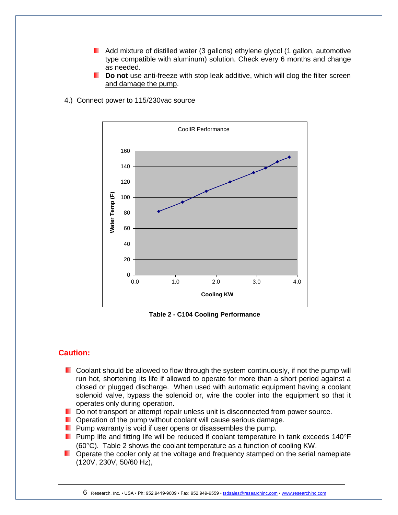- Add mixture of distilled water (3 gallons) ethylene glycol (1 gallon, automotive type compatible with aluminum) solution. Check every 6 months and change as needed.
- **Do not** use anti-freeze with stop leak additive, which will clog the filter screen and damage the pump.



4.) Connect power to 115/230vac source

**Table 2 - C104 Cooling Performance**

#### **Caution:**

- $\blacksquare$  Coolant should be allowed to flow through the system continuously, if not the pump will run hot, shortening its life if allowed to operate for more than a short period against a closed or plugged discharge. When used with automatic equipment having a coolant solenoid valve, bypass the solenoid or, wire the cooler into the equipment so that it operates only during operation.
- Do not transport or attempt repair unless unit is disconnected from power source.
- **D** Operation of the pump without coolant will cause serious damage.
- **Pump warranty is void if user opens or disassembles the pump.**
- **Pump life and fitting life will be reduced if coolant temperature in tank exceeds 140°F** ( $60^{\circ}$ C). Table 2 shows the coolant temperature as a function of cooling KW.
- **Dearate the cooler only at the voltage and frequency stamped on the serial nameplate** (120V, 230V, 50/60 Hz),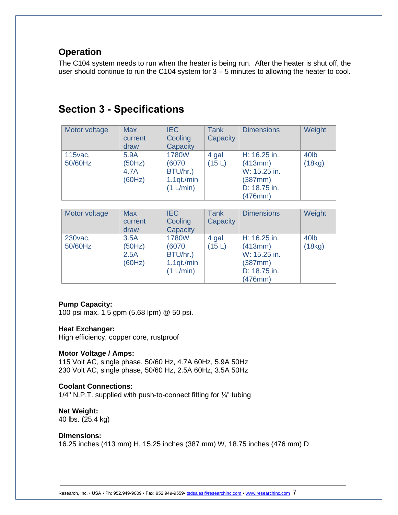## <span id="page-6-0"></span>**Operation**

<span id="page-6-1"></span>The C104 system needs to run when the heater is being run. After the heater is shut off, the user should continue to run the C104 system for 3 – 5 minutes to allowing the heater to cool.

## **Section 3 - Specifications**

| Motor voltage       | <b>Max</b><br>current<br>draw    | <b>IEC</b><br>Cooling<br>Capacity                             | <b>Tank</b><br>Capacity | <b>Dimensions</b>                                                             | Weight                     |
|---------------------|----------------------------------|---------------------------------------------------------------|-------------------------|-------------------------------------------------------------------------------|----------------------------|
| 115 vac,<br>50/60Hz | 5.9A<br>(50Hz)<br>4.7A<br>(60Hz) | <b>1780W</b><br>(6070)<br>BTU/hr.)<br>1.1qt./min<br>(1 L/min) | 4 gal<br>(15L)          | H: 16.25 in.<br>(413mm)<br>W: 15.25 in.<br>(387mm)<br>D: 18.75 in.<br>(476mm) | 40 <sub>lb</sub><br>(18kg) |

| Motor voltage       | <b>Max</b><br>current<br>draw    | <b>IEC</b><br>Cooling<br>Capacity                            | Tank<br>Capacity | <b>Dimensions</b>                                                             | Weight                      |
|---------------------|----------------------------------|--------------------------------------------------------------|------------------|-------------------------------------------------------------------------------|-----------------------------|
| 230 vac,<br>50/60Hz | 3.5A<br>(50Hz)<br>2.5A<br>(60Hz) | <b>1780W</b><br>(6070<br>BTU/hr.)<br>1.1qt./min<br>(1 L/min) | 4 gal<br>(15L)   | H: 16.25 in.<br>(413mm)<br>W: 15.25 in.<br>(387mm)<br>D: 18.75 in.<br>(476mm) | 40 <sub>l</sub> b<br>(18kg) |

#### **Pump Capacity:**

100 psi max. 1.5 gpm (5.68 lpm) @ 50 psi.

#### **Heat Exchanger:**

High efficiency, copper core, rustproof

#### **Motor Voltage / Amps:**

115 Volt AC, single phase, 50/60 Hz, 4.7A 60Hz, 5.9A 50Hz 230 Volt AC, single phase, 50/60 Hz, 2.5A 60Hz, 3.5A 50Hz

#### **Coolant Connections:**

1/4" N.P.T. supplied with push-to-connect fitting for ¼" tubing

### **Net Weight:**

40 lbs. (25.4 kg)

#### **Dimensions:**

16.25 inches (413 mm) H, 15.25 inches (387 mm) W, 18.75 inches (476 mm) D

Research, Inc. • USA • Ph: 952.949-9009 • Fax: 952.949-9559[• tsdsales@researchinc.com](mailto:tsdsales@researchinc.com) • [www.researchinc.com](http://www.researchinc.com/) 7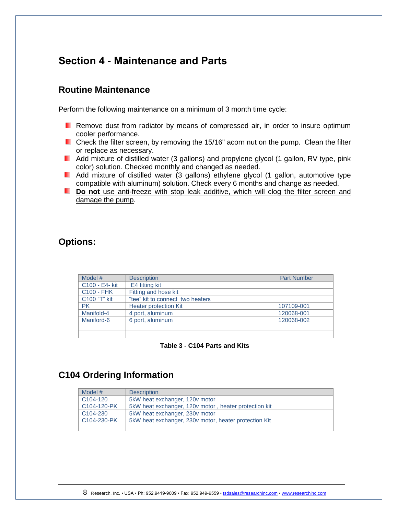## <span id="page-7-0"></span>**Section 4 - Maintenance and Parts**

## <span id="page-7-1"></span>**Routine Maintenance**

Perform the following maintenance on a minimum of 3 month time cycle:

- **Remove dust from radiator by means of compressed air, in order to insure optimum** cooler performance.
- **Check the filter screen, by removing the 15/16" acorn nut on the pump. Clean the filter** or replace as necessary.
- **Add mixture of distilled water (3 gallons) and propylene glycol (1 gallon, RV type, pink** color) solution. Checked monthly and changed as needed.
- **Add mixture of distilled water (3 gallons) ethylene glycol (1 gallon, automotive type** compatible with aluminum) solution. Check every 6 months and change as needed.
- **Do not** use anti-freeze with stop leak additive, which will clog the filter screen and damage the pump.

## **Options:**

| Model #           | <b>Description</b>               | <b>Part Number</b> |
|-------------------|----------------------------------|--------------------|
| C100 - E4- kit    | E4 fitting kit                   |                    |
| <b>C100 - FHK</b> | Fitting and hose kit             |                    |
| C100 "T" kit      | "tee" kit to connect two heaters |                    |
| <b>PK</b>         | <b>Heater protection Kit</b>     | 107109-001         |
| Manifold-4        | 4 port, aluminum                 | 120068-001         |
| Maniford-6        | 6 port, aluminum                 | 120068-002         |
|                   |                                  |                    |
|                   |                                  |                    |

**Table 3 - C104 Parts and Kits**

## **C104 Ordering Information**

| Model #               | <b>Description</b>                                    |
|-----------------------|-------------------------------------------------------|
| C <sub>104</sub> -120 | 5kW heat exchanger, 120y motor                        |
| C104-120-PK           | 5kW heat exchanger, 120v motor, heater protection kit |
| C <sub>104</sub> -230 | 5kW heat exchanger, 230v motor                        |
| C104-230-PK           | 5kW heat exchanger, 230v motor, heater protection Kit |
|                       |                                                       |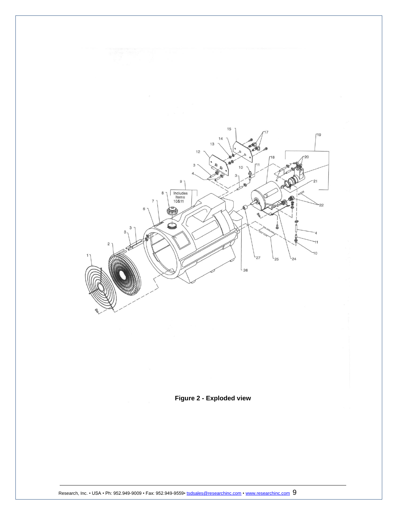

### **Figure 2 - Exploded view**